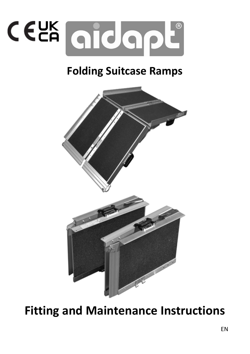

# Folding Suitcase Ramps



Fitting and Maintenance Instructions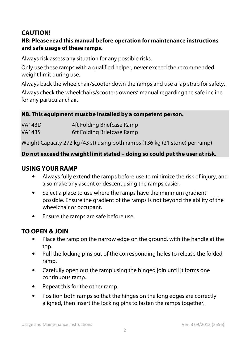# **CAUTION!**

#### **NB: Please read this manual before operation for maintenance instructions and safe usage of these ramps.**

Always risk assess any situation for any possible risks.

Only use these ramps with a qualified helper, never exceed the recommended weight limit during use.

Always back the wheelchair/scooter down the ramps and use a lap strap for safety.

Always check the wheelchairs/scooters owners' manual regarding the safe incline for any particular chair.

#### **NB. This equipment must be installed by a competent person.**

| <b>VA143D</b> | 4ft Folding Briefcase Ramp |
|---------------|----------------------------|
| VA143S        | 6ft Folding Briefcase Ramp |

Weight Capacity 272 kg (43 st) using both ramps (136 kg (21 stone) per ramp)

#### **Do not exceed the weight limit stated – doing so could put the user at risk.**

#### **USING YOUR RAMP**

- Always fully extend the ramps before use to minimize the risk of injury, and also make any ascent or descent using the ramps easier.
- Select a place to use where the ramps have the minimum gradient possible. Ensure the gradient of the ramps is not beyond the ability of the wheelchair or occupant.
- Ensure the ramps are safe before use.

## **TO OPEN & JOIN**

- Place the ramp on the narrow edge on the ground, with the handle at the top.
- Pull the locking pins out of the corresponding holes to release the folded ramp.
- Carefully open out the ramp using the hinged join until it forms one continuous ramp.
- Repeat this for the other ramp.
- Position both ramps so that the hinges on the long edges are correctly aligned, then insert the locking pins to fasten the ramps together.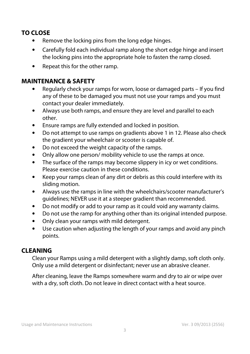# **TO CLOSE**

- Remove the locking pins from the long edge hinges.
- Carefully fold each individual ramp along the short edge hinge and insert the locking pins into the appropriate hole to fasten the ramp closed.
- Repeat this for the other ramp.

### **MAINTENANCE & SAFETY**

- Regularly check your ramps for worn, loose or damaged parts If you find any of these to be damaged you must not use your ramps and you must contact your dealer immediately.
- Always use both ramps, and ensure they are level and parallel to each other.
- Ensure ramps are fully extended and locked in position.
- Do not attempt to use ramps on gradients above 1 in 12. Please also check the gradient your wheelchair or scooter is capable of.
- Do not exceed the weight capacity of the ramps.
- Only allow one person/ mobility vehicle to use the ramps at once.
- The surface of the ramps may become slippery in icy or wet conditions. Please exercise caution in these conditions.
- Keep your ramps clean of any dirt or debris as this could interfere with its sliding motion.
- Always use the ramps in line with the wheelchairs/scooter manufacturer's guidelines; NEVER use it at a steeper gradient than recommended.
- Do not modify or add to your ramp as it could void any warranty claims.
- Do not use the ramp for anything other than its original intended purpose.
- Only clean your ramps with mild detergent.
- Use caution when adjusting the length of your ramps and avoid any pinch points.

## **CLEANING**

Clean your Ramps using a mild detergent with a slightly damp, soft cloth only. Only use a mild detergent or disinfectant; never use an abrasive cleaner.

After cleaning, leave the Ramps somewhere warm and dry to air or wipe over with a dry, soft cloth. Do not leave in direct contact with a heat source.